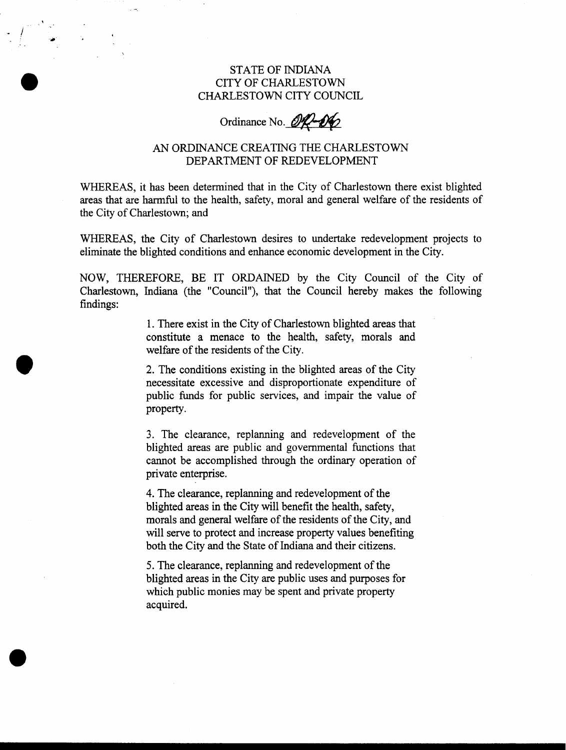## STATE OF INDIANA CITY OF CHARLESTOWN CHARLESTOWN CITY COUNCIL

## Ordinance No. 000

## AN ORDINANCE CREATING THE CHARLESTOWN DEPARTMENT OF REDEVELOPMENT

WHEREAS, it has been determined that in the City of Charlestown there exist blighted areas that are harmful to the health, safety, moral and general welfare of the residents of the City of Charlestown; and

WHEREAS, the City of Charlestown desires to undertake redevelopment projects to eliminate the blighted conditions and enhance economic development in the City.

NOW, THEREFORE, BE IT ORDAINED by the City Council of the City of Charlestown, Indiana (the "Council"), that the Council hereby makes the following findings:

> 1. There exist in the City of Charlestown blighted areas that constitute a menace to the health, safety, morals and welfare of the residents of the City.

**2.** The conditions existing in the blighted areas of the City necessitate excessive and disproportionate expenditure of public funds for public services, and impair the value of property.

3. The clearance, replanning and redevelopment of the blighted areas are public and governmental functions that cannot be accomplished through the ordinary operation of private enterprise.

**4.** The clearance, replanning and redevelopment of the blighted areas in the City will benefit the health, safety, morals and general welfare of the residents of the City, and will serve to protect and increase property values benefiting both the City and the State of Indiana and their citizens.

*5.* The clearance, replanning and redevelopment of the blighted areas in the City are public uses and purposes for which public monies may be spent and private property acquired.